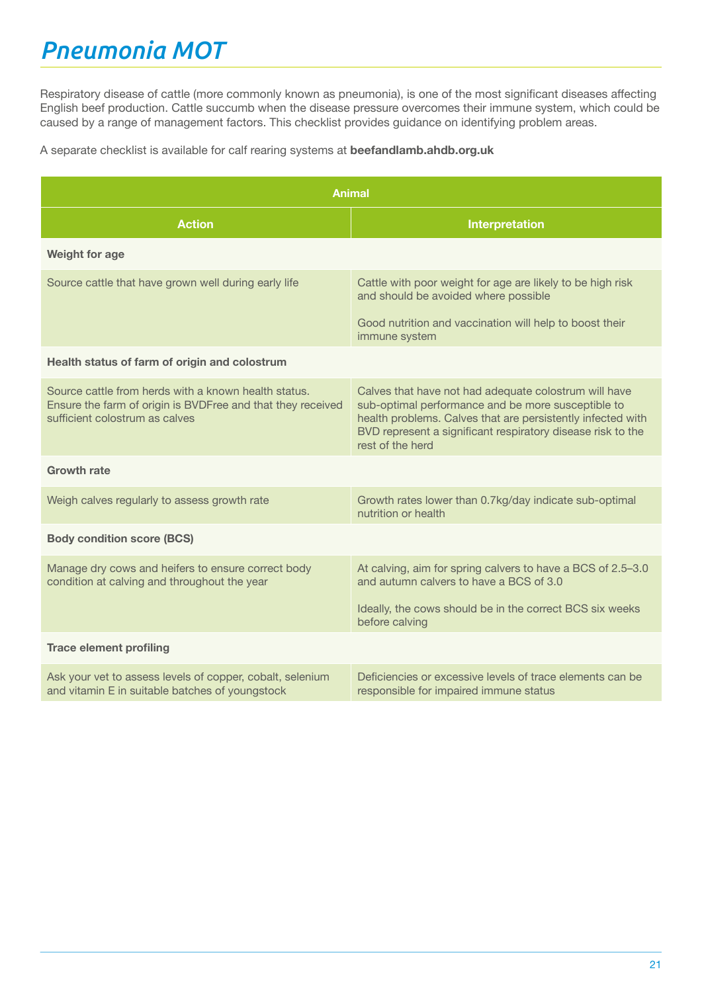# *Pneumonia MOT*

Respiratory disease of cattle (more commonly known as pneumonia), is one of the most significant diseases affecting English beef production. Cattle succumb when the disease pressure overcomes their immune system, which could be caused by a range of management factors. This checklist provides guidance on identifying problem areas.

A separate checklist is available for calf rearing systems at **beefandlamb.ahdb.org.uk**

| <b>Animal</b>                                                                                                                                         |                                                                                                                                                                                                                                                               |  |  |  |
|-------------------------------------------------------------------------------------------------------------------------------------------------------|---------------------------------------------------------------------------------------------------------------------------------------------------------------------------------------------------------------------------------------------------------------|--|--|--|
| <b>Action</b>                                                                                                                                         | <b>Interpretation</b>                                                                                                                                                                                                                                         |  |  |  |
| <b>Weight for age</b>                                                                                                                                 |                                                                                                                                                                                                                                                               |  |  |  |
| Source cattle that have grown well during early life                                                                                                  | Cattle with poor weight for age are likely to be high risk<br>and should be avoided where possible                                                                                                                                                            |  |  |  |
|                                                                                                                                                       | Good nutrition and vaccination will help to boost their<br>immune system                                                                                                                                                                                      |  |  |  |
| Health status of farm of origin and colostrum                                                                                                         |                                                                                                                                                                                                                                                               |  |  |  |
| Source cattle from herds with a known health status.<br>Ensure the farm of origin is BVDFree and that they received<br>sufficient colostrum as calves | Calves that have not had adequate colostrum will have<br>sub-optimal performance and be more susceptible to<br>health problems. Calves that are persistently infected with<br>BVD represent a significant respiratory disease risk to the<br>rest of the herd |  |  |  |
| <b>Growth rate</b>                                                                                                                                    |                                                                                                                                                                                                                                                               |  |  |  |
| Weigh calves regularly to assess growth rate                                                                                                          | Growth rates lower than 0.7kg/day indicate sub-optimal<br>nutrition or health                                                                                                                                                                                 |  |  |  |
| <b>Body condition score (BCS)</b>                                                                                                                     |                                                                                                                                                                                                                                                               |  |  |  |
| Manage dry cows and heifers to ensure correct body<br>condition at calving and throughout the year                                                    | At calving, aim for spring calvers to have a BCS of 2.5-3.0<br>and autumn calvers to have a BCS of 3.0                                                                                                                                                        |  |  |  |
|                                                                                                                                                       | Ideally, the cows should be in the correct BCS six weeks<br>before calving                                                                                                                                                                                    |  |  |  |
| <b>Trace element profiling</b>                                                                                                                        |                                                                                                                                                                                                                                                               |  |  |  |
| Ask your vet to assess levels of copper, cobalt, selenium<br>and vitamin E in suitable batches of youngstock                                          | Deficiencies or excessive levels of trace elements can be<br>responsible for impaired immune status                                                                                                                                                           |  |  |  |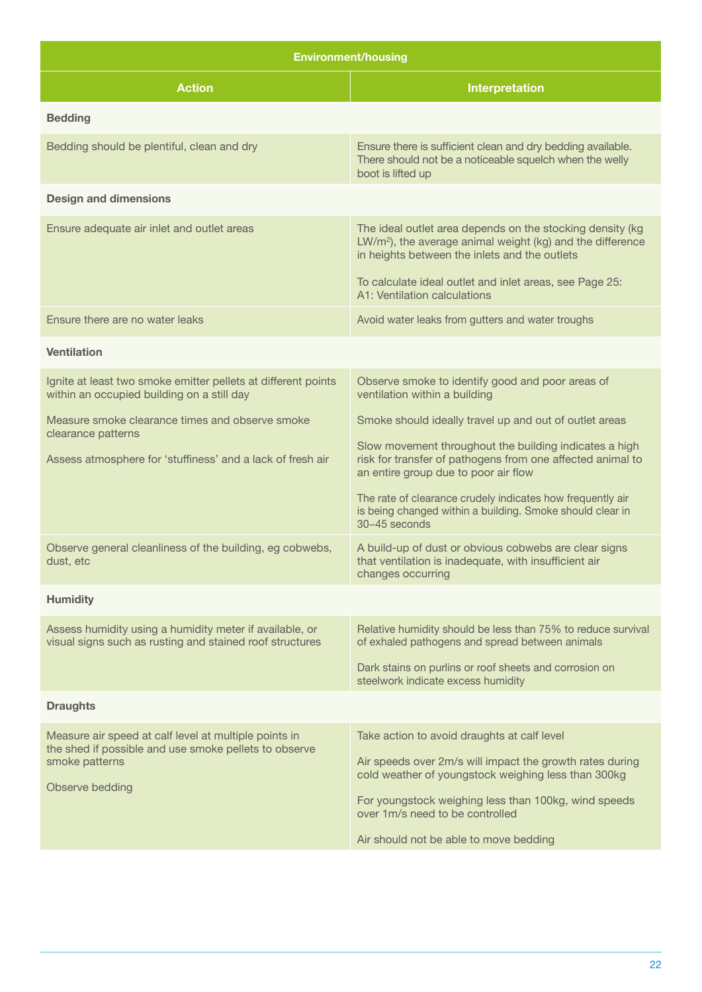| <b>Environment/housing</b>                                                                                                       |                                                                                                                                                                                                                                                |  |
|----------------------------------------------------------------------------------------------------------------------------------|------------------------------------------------------------------------------------------------------------------------------------------------------------------------------------------------------------------------------------------------|--|
| <b>Action</b>                                                                                                                    | Interpretation                                                                                                                                                                                                                                 |  |
| <b>Bedding</b>                                                                                                                   |                                                                                                                                                                                                                                                |  |
| Bedding should be plentiful, clean and dry                                                                                       | Ensure there is sufficient clean and dry bedding available.<br>There should not be a noticeable squelch when the welly<br>boot is lifted up                                                                                                    |  |
| <b>Design and dimensions</b>                                                                                                     |                                                                                                                                                                                                                                                |  |
| Ensure adequate air inlet and outlet areas                                                                                       | The ideal outlet area depends on the stocking density (kg<br>LW/m <sup>2</sup> ), the average animal weight (kg) and the difference<br>in heights between the inlets and the outlets                                                           |  |
|                                                                                                                                  | To calculate ideal outlet and inlet areas, see Page 25:<br>A1: Ventilation calculations                                                                                                                                                        |  |
| Ensure there are no water leaks                                                                                                  | Avoid water leaks from gutters and water troughs                                                                                                                                                                                               |  |
| <b>Ventilation</b>                                                                                                               |                                                                                                                                                                                                                                                |  |
| Ignite at least two smoke emitter pellets at different points<br>within an occupied building on a still day                      | Observe smoke to identify good and poor areas of<br>ventilation within a building                                                                                                                                                              |  |
| Measure smoke clearance times and observe smoke<br>clearance patterns                                                            | Smoke should ideally travel up and out of outlet areas<br>Slow movement throughout the building indicates a high                                                                                                                               |  |
| Assess atmosphere for 'stuffiness' and a lack of fresh air                                                                       | risk for transfer of pathogens from one affected animal to<br>an entire group due to poor air flow<br>The rate of clearance crudely indicates how frequently air<br>is being changed within a building. Smoke should clear in<br>30-45 seconds |  |
| Observe general cleanliness of the building, eg cobwebs,<br>dust. etc                                                            | A build-up of dust or obvious cobwebs are clear signs<br>that ventilation is inadequate, with insufficient air<br>changes occurring                                                                                                            |  |
| <b>Humidity</b>                                                                                                                  |                                                                                                                                                                                                                                                |  |
| Assess humidity using a humidity meter if available, or<br>visual signs such as rusting and stained roof structures              | Relative humidity should be less than 75% to reduce survival<br>of exhaled pathogens and spread between animals                                                                                                                                |  |
|                                                                                                                                  | Dark stains on purlins or roof sheets and corrosion on<br>steelwork indicate excess humidity                                                                                                                                                   |  |
| <b>Draughts</b>                                                                                                                  |                                                                                                                                                                                                                                                |  |
| Measure air speed at calf level at multiple points in<br>the shed if possible and use smoke pellets to observe<br>smoke patterns | Take action to avoid draughts at calf level<br>Air speeds over 2m/s will impact the growth rates during                                                                                                                                        |  |
| Observe bedding                                                                                                                  | cold weather of youngstock weighing less than 300kg                                                                                                                                                                                            |  |
|                                                                                                                                  | For youngstock weighing less than 100kg, wind speeds<br>over 1m/s need to be controlled                                                                                                                                                        |  |
|                                                                                                                                  | Air should not be able to move bedding                                                                                                                                                                                                         |  |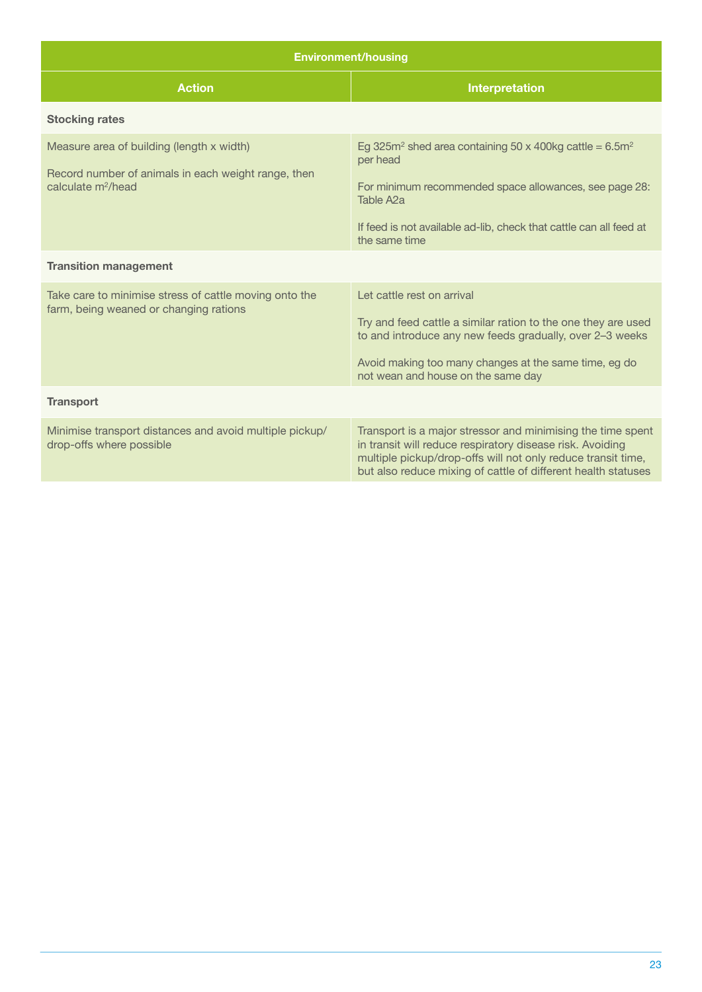| <b>Environment/housing</b>                                                                                                         |                                                                                                                                                                                                                                                              |  |  |
|------------------------------------------------------------------------------------------------------------------------------------|--------------------------------------------------------------------------------------------------------------------------------------------------------------------------------------------------------------------------------------------------------------|--|--|
| <b>Action</b>                                                                                                                      | <b>Interpretation</b>                                                                                                                                                                                                                                        |  |  |
| <b>Stocking rates</b>                                                                                                              |                                                                                                                                                                                                                                                              |  |  |
| Measure area of building (length x width)<br>Record number of animals in each weight range, then<br>calculate m <sup>2</sup> /head | Eg 325m <sup>2</sup> shed area containing 50 x 400kg cattle = $6.5m2$<br>per head<br>For minimum recommended space allowances, see page 28:<br>Table A <sub>2</sub> a<br>If feed is not available ad-lib, check that cattle can all feed at<br>the same time |  |  |
| <b>Transition management</b>                                                                                                       |                                                                                                                                                                                                                                                              |  |  |
| Take care to minimise stress of cattle moving onto the<br>farm, being weaned or changing rations                                   | Let cattle rest on arrival<br>Try and feed cattle a similar ration to the one they are used<br>to and introduce any new feeds gradually, over 2-3 weeks<br>Avoid making too many changes at the same time, eg do<br>not wean and house on the same day       |  |  |
| <b>Transport</b>                                                                                                                   |                                                                                                                                                                                                                                                              |  |  |
| Minimise transport distances and avoid multiple pickup/<br>drop-offs where possible                                                | Transport is a major stressor and minimising the time spent<br>in transit will reduce respiratory disease risk. Avoiding<br>multiple pickup/drop-offs will not only reduce transit time,<br>but also reduce mixing of cattle of different health statuses    |  |  |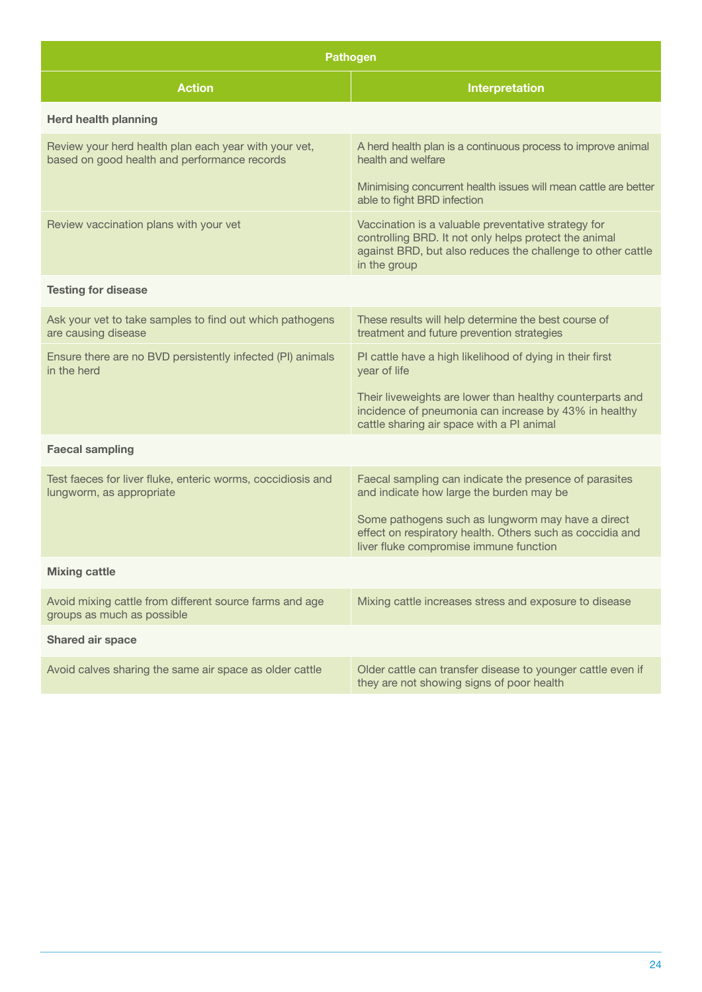| <b>Pathogen</b>                                                                                       |                                                                                                                                                                                             |  |  |
|-------------------------------------------------------------------------------------------------------|---------------------------------------------------------------------------------------------------------------------------------------------------------------------------------------------|--|--|
| <b>Action</b>                                                                                         | Interpretation                                                                                                                                                                              |  |  |
| <b>Herd health planning</b>                                                                           |                                                                                                                                                                                             |  |  |
| Review your herd health plan each year with your vet,<br>based on good health and performance records | A herd health plan is a continuous process to improve animal<br>health and welfare                                                                                                          |  |  |
|                                                                                                       | Minimising concurrent health issues will mean cattle are better<br>able to fight BRD infection                                                                                              |  |  |
| Review vaccination plans with your vet                                                                | Vaccination is a valuable preventative strategy for<br>controlling BRD. It not only helps protect the animal<br>against BRD, but also reduces the challenge to other cattle<br>in the group |  |  |
| <b>Testing for disease</b>                                                                            |                                                                                                                                                                                             |  |  |
| Ask your vet to take samples to find out which pathogens<br>are causing disease                       | These results will help determine the best course of<br>treatment and future prevention strategies                                                                                          |  |  |
| Ensure there are no BVD persistently infected (PI) animals<br>in the herd                             | PI cattle have a high likelihood of dying in their first<br>year of life                                                                                                                    |  |  |
|                                                                                                       | Their liveweights are lower than healthy counterparts and<br>incidence of pneumonia can increase by 43% in healthy<br>cattle sharing air space with a PI animal                             |  |  |
| <b>Faecal sampling</b>                                                                                |                                                                                                                                                                                             |  |  |
| Test faeces for liver fluke, enteric worms, coccidiosis and<br>lungworm, as appropriate               | Faecal sampling can indicate the presence of parasites<br>and indicate how large the burden may be                                                                                          |  |  |
|                                                                                                       | Some pathogens such as lungworm may have a direct<br>effect on respiratory health. Others such as coccidia and<br>liver fluke compromise immune function                                    |  |  |
| <b>Mixing cattle</b>                                                                                  |                                                                                                                                                                                             |  |  |
| Avoid mixing cattle from different source farms and age<br>groups as much as possible                 | Mixing cattle increases stress and exposure to disease                                                                                                                                      |  |  |
| Shared air space                                                                                      |                                                                                                                                                                                             |  |  |
| Avoid calves sharing the same air space as older cattle                                               | Older cattle can transfer disease to younger cattle even if<br>they are not showing signs of poor health                                                                                    |  |  |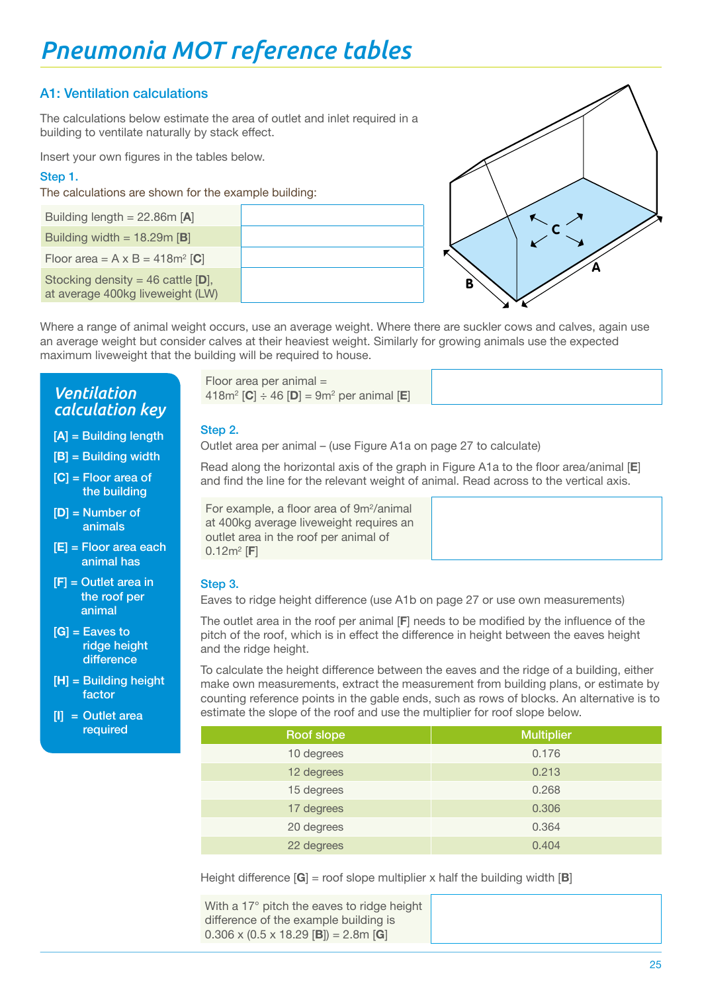## Pneumonia MOT reference tables **A1: Ventilation calculations**

### A1: Ventilation calculations

The calculations below estimate the area of outlet and inlet required in a building to ventilate naturally by stack effect.

Insert your own figures in the tables below.

### **Step 1.**

**Floor area per animal =** 

The calculations are shown for the example building:

| Building length = $22.86m$ [A]<br>Building width = $18.29m$ [B]<br>Floor area = $A \times B = 418m^2$ [C]<br>Stocking density = 46 cattle $[D]$ ,<br>at average 400kg liveweight (LW) |  |
|---------------------------------------------------------------------------------------------------------------------------------------------------------------------------------------|--|
|                                                                                                                                                                                       |  |
|                                                                                                                                                                                       |  |
|                                                                                                                                                                                       |  |
|                                                                                                                                                                                       |  |



Where a range of animal weight occurs, use an average weight. Where there are suckler cows and calves, again use an average weight but consider calves at their heaviest weight. Similarly for growing animals use the expected maximum liveweight that the building will be required to house.

#### **418m2 [C] ÷ 46 [D] = 9m2** *Ventilation calculation key*

 $\mathbf{V} = \mathbf{A} \mathbf{A} + \mathbf{B} \mathbf{A}$ [**A**] = Building length

- [**B**] = Building width
- **Floor** area of the building the building the building  $\mathbf{f}$ [**C**] = Floor area of the building
	- [**D**] = Number of animals
	- [**E**] = Floor area each animal has
- **= Outlet area in Step 3.** [**F**] = Outlet area in the roof per animal
	- [**G**] = Eaves to ridge height difference
	- [**H**] = Building height factor
	- [**I**] = Outlet area

Floor area per animal = 418m2 [**C**] ÷ 46 [**D**] = 9m2 per animal [**E**]

#### Step 2.

**Eagle 5 Dutlet area per animal – (use Figure A1a on page 27 to calculate)** 

**EXAMPLE BEAD Read along the horizontal axis of the graph in Figure A1a to the floor area/animal [E]** and find the line for the relevant weight of animal. Read across to the vertical axis. **[I]** = Outlet area required **[F]** = Outlet area in the roof per animal

For example, a floor area of 9m<sup>2</sup>/animal at 400kg average liveweight requires an outlet area in the roof per animal of **24 of 28**  $0.12m^2$  [**F**]

#### Step 3.

Eaves to ridge height difference (use A1b on page 27 or use own measurements)

The outlet area in the roof per animal [**F**] needs to be modified by the influence of the pitch of the roof, which is in effect the difference in height between the eaves height and the ridge height.

To calculate the height difference between the eaves and the ridge of a building, either make own measurements, extract the measurement from building plans, or estimate by counting reference points in the gable ends, such as rows of blocks. An alternative is to estimate the slope of the roof and use the multiplier for roof slope below.

| required | Roof slope | <b>Multiplier</b> |
|----------|------------|-------------------|
|          | 10 degrees | 0.176             |
|          | 12 degrees | 0.213             |
|          | 15 degrees | 0.268             |
|          | 17 degrees | 0.306             |
|          | 20 degrees | 0.364             |
|          | 22 degrees | 0.404             |

Height difference [**G**] = roof slope multiplier x half the building width [**B**]

With a 17° pitch the eaves to ridge height difference of the example building is 0.306 x (0.5 x 18.29 [**B**]) = 2.8m [**G**]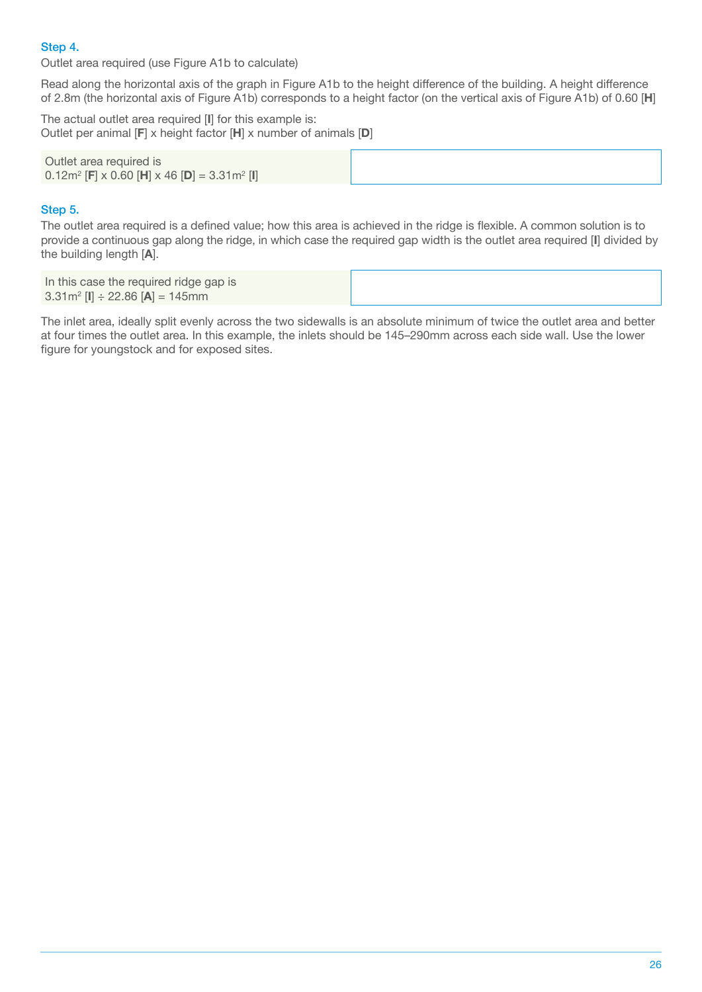Step 4.

Outlet area required (use Figure A1b to calculate)

Read along the horizontal axis of the graph in Figure A1b to the height difference of the building. A height difference of 2.8m (the horizontal axis of Figure A1b) corresponds to a height factor (on the vertical axis of Figure A1b) of 0.60 [**H**]

The actual outlet area required [**I**] for this example is: Outlet per animal [**F**] x height factor [**H**] x number of animals [**D**]

| Outlet area required is<br>$0.12$ m <sup>2</sup> [F] x 0.60 [H] x 46 [D] = 3.31m <sup>2</sup> [I] |  |
|---------------------------------------------------------------------------------------------------|--|
|---------------------------------------------------------------------------------------------------|--|

#### Step 5.

The outlet area required is a defined value; how this area is achieved in the ridge is flexible. A common solution is to provide a continuous gap along the ridge, in which case the required gap width is the outlet area required [**I**] divided by the building length [**A**].

| In this case the required ridge gap is<br>$3.31m^2$ [I] $\div$ 22.86 [A] = 145mm |
|----------------------------------------------------------------------------------|
|----------------------------------------------------------------------------------|

The inlet area, ideally split evenly across the two sidewalls is an absolute minimum of twice the outlet area and better at four times the outlet area. In this example, the inlets should be 145–290mm across each side wall. Use the lower figure for youngstock and for exposed sites.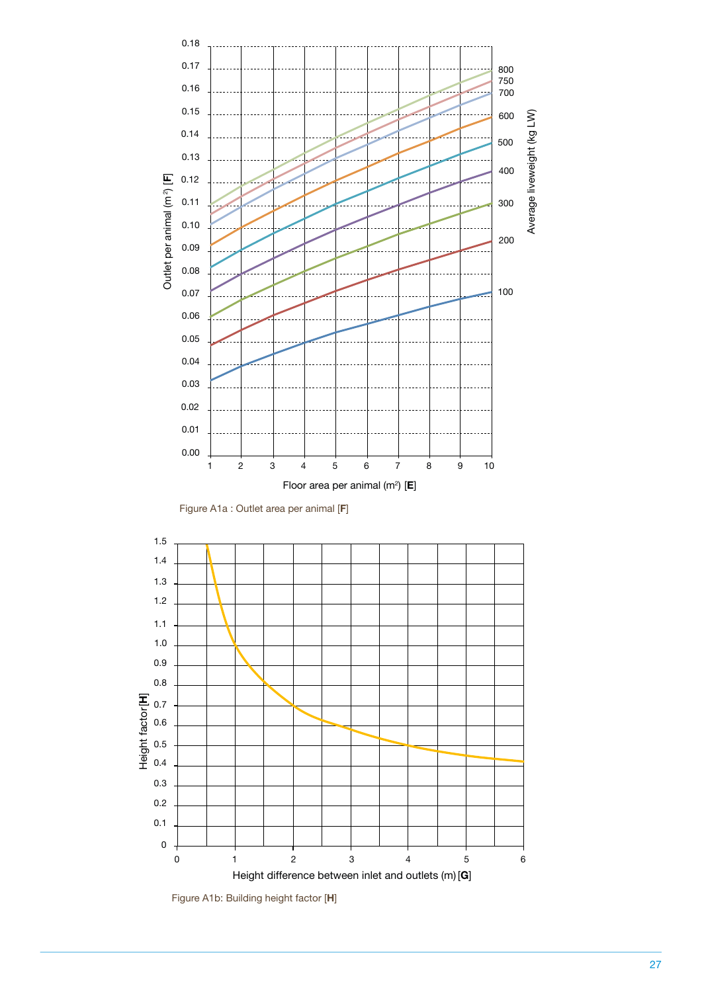



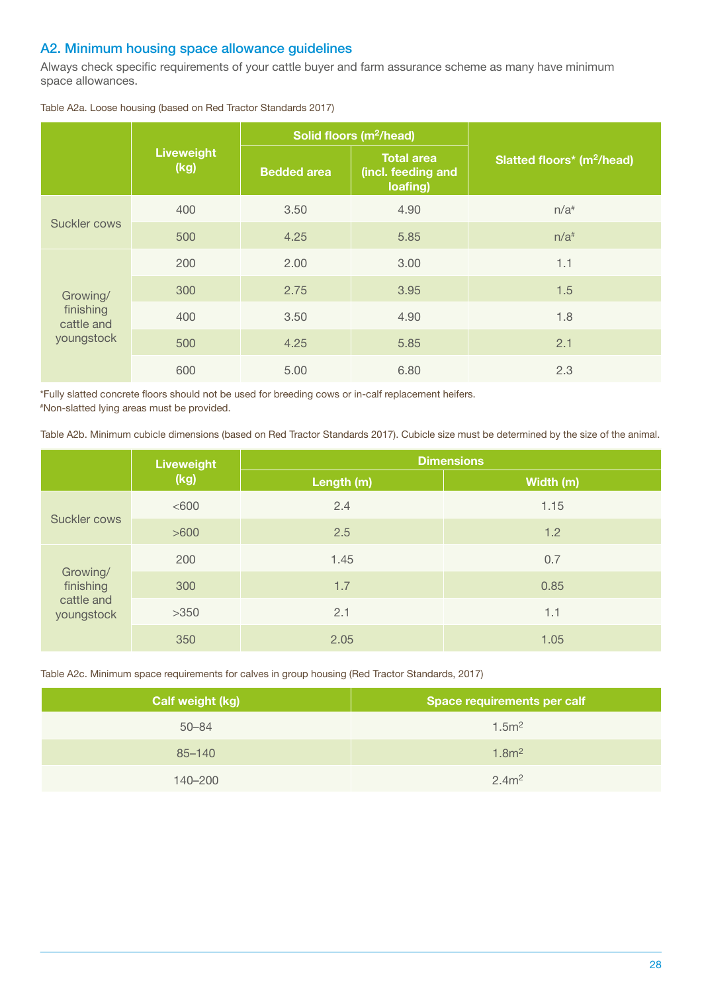#### A2. Minimum housing space allowance guidelines

Always check specific requirements of your cattle buyer and farm assurance scheme as many have minimum space allowances.

|                                                   | Solid floors (m <sup>2</sup> /head) |                    |                                                     |                                        |
|---------------------------------------------------|-------------------------------------|--------------------|-----------------------------------------------------|----------------------------------------|
|                                                   | <b>Liveweight</b><br>(kg)           | <b>Bedded area</b> | <b>Total area</b><br>(incl. feeding and<br>loafing) | Slatted floors* (m <sup>2</sup> /head) |
| Suckler cows                                      | 400                                 | 3.50               | 4.90                                                | $n/a$ <sup>#</sup>                     |
|                                                   | 500                                 | 4.25               | 5.85                                                | $n/a$ <sup>#</sup>                     |
| Growing/<br>finishing<br>cattle and<br>youngstock | 200                                 | 2.00               | 3.00                                                | 1.1                                    |
|                                                   | 300                                 | 2.75               | 3.95                                                | 1.5                                    |
|                                                   | 400                                 | 3.50               | 4.90                                                | 1.8                                    |
|                                                   | 500                                 | 4.25               | 5.85                                                | 2.1                                    |
|                                                   | 600                                 | 5.00               | 6.80                                                | 2.3                                    |

Table A2a. Loose housing (based on Red Tractor Standards 2017)

\*Fully slatted concrete floors should not be used for breeding cows or in-calf replacement heifers.

# Non-slatted lying areas must be provided.

Table A2b. Minimum cubicle dimensions (based on Red Tractor Standards 2017). Cubicle size must be determined by the size of the animal.

|                                                   | Liveweight | <b>Dimensions</b> |           |
|---------------------------------------------------|------------|-------------------|-----------|
| (kg)                                              |            | Length (m)        | Width (m) |
| Suckler cows                                      | <600       | 2.4               | 1.15      |
|                                                   | >600       | 2.5               | 1.2       |
|                                                   | 200        | 1.45              | 0.7       |
| Growing/<br>finishing<br>cattle and<br>youngstock | 300        | 1.7               | 0.85      |
|                                                   | $>350$     | 2.1               | 1.1       |
|                                                   | 350        | 2.05              | 1.05      |

Table A2c. Minimum space requirements for calves in group housing (Red Tractor Standards, 2017)

| <b>Calf weight (kg)</b> | <b>Space requirements per calf</b> |
|-------------------------|------------------------------------|
| $50 - 84$               | 1.5 <sup>m²</sup>                  |
| 85-140                  | 1.8 <sup>2</sup>                   |
| 140-200                 | 2.4m <sup>2</sup>                  |